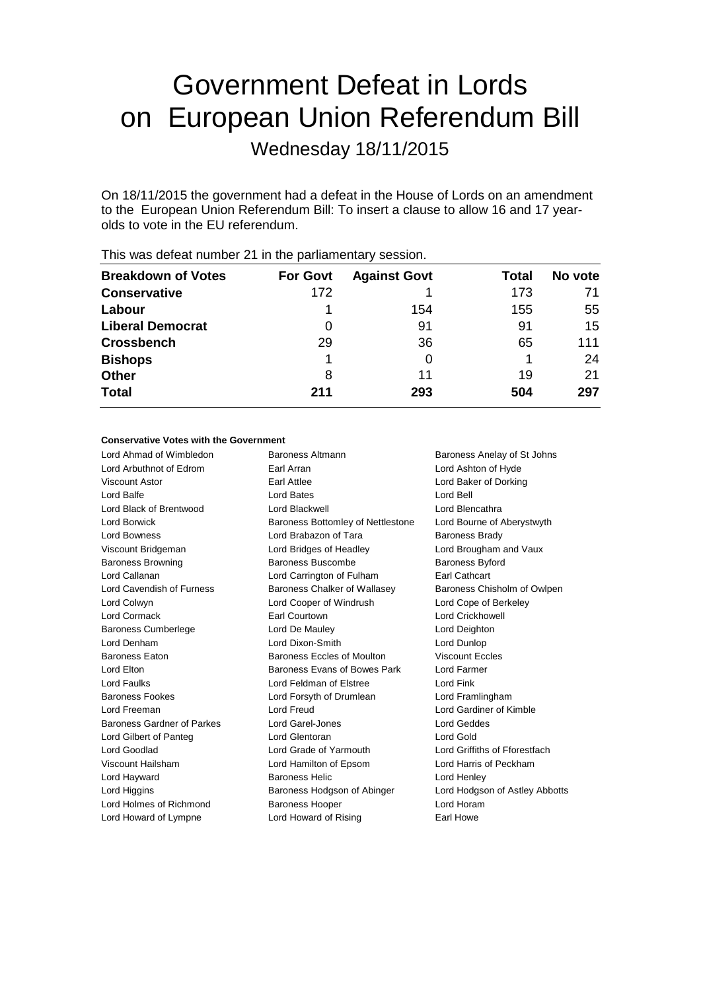# Government Defeat in Lords on European Union Referendum Bill

Wednesday 18/11/2015

On 18/11/2015 the government had a defeat in the House of Lords on an amendment to the European Union Referendum Bill: To insert a clause to allow 16 and 17 yearolds to vote in the EU referendum.

|                           |                 | -                   |       |         |
|---------------------------|-----------------|---------------------|-------|---------|
| <b>Breakdown of Votes</b> | <b>For Govt</b> | <b>Against Govt</b> | Total | No vote |
| <b>Conservative</b>       | 172             |                     | 173   |         |
| Labour                    |                 | 154                 | 155   | 55      |
| <b>Liberal Democrat</b>   | 0               | 91                  | 91    | 15      |
| <b>Crossbench</b>         | 29              | 36                  | 65    | 111     |
| <b>Bishops</b>            |                 |                     |       | 24      |
| <b>Other</b>              | 8               | 11                  | 19    | 21      |
| <b>Total</b>              | 211             | 293                 | 504   | 297     |
|                           |                 |                     |       |         |

This was defeat number 21 in the parliamentary session.

# **Conservative Votes with the Government**

| Lord Ahmad of Wimbledon    | Baroness Altmann                  | Baroness Anelay of St Johns    |
|----------------------------|-----------------------------------|--------------------------------|
| Lord Arbuthnot of Edrom    | Earl Arran                        | Lord Ashton of Hyde            |
| Viscount Astor             | Earl Attlee                       | Lord Baker of Dorking          |
| Lord Balfe                 | <b>Lord Bates</b>                 | Lord Bell                      |
| Lord Black of Brentwood    | Lord Blackwell                    | Lord Blencathra                |
| Lord Borwick               | Baroness Bottomley of Nettlestone | Lord Bourne of Aberystwyth     |
| Lord Bowness               | Lord Brabazon of Tara             | <b>Baroness Brady</b>          |
| Viscount Bridgeman         | Lord Bridges of Headley           | Lord Brougham and Vaux         |
| <b>Baroness Browning</b>   | Baroness Buscombe                 | <b>Baroness Byford</b>         |
| Lord Callanan              | Lord Carrington of Fulham         | <b>Earl Cathcart</b>           |
| Lord Cavendish of Furness  | Baroness Chalker of Wallasey      | Baroness Chisholm of Owlpen    |
| Lord Colwyn                | Lord Cooper of Windrush           | Lord Cope of Berkeley          |
| Lord Cormack               | Earl Courtown                     | <b>Lord Crickhowell</b>        |
| <b>Baroness Cumberlege</b> | Lord De Mauley                    | Lord Deighton                  |
| Lord Denham                | Lord Dixon-Smith                  | Lord Dunlop                    |
| <b>Baroness Eaton</b>      | Baroness Eccles of Moulton        | <b>Viscount Eccles</b>         |
| Lord Elton                 | Baroness Evans of Bowes Park      | Lord Farmer                    |
| Lord Faulks                | Lord Feldman of Elstree           | Lord Fink                      |
| <b>Baroness Fookes</b>     | Lord Forsyth of Drumlean          | Lord Framlingham               |
| Lord Freeman               | Lord Freud                        | Lord Gardiner of Kimble        |
| Baroness Gardner of Parkes | Lord Garel-Jones                  | <b>Lord Geddes</b>             |
| Lord Gilbert of Panteg     | Lord Glentoran                    | Lord Gold                      |
| Lord Goodlad               | Lord Grade of Yarmouth            | Lord Griffiths of Fforestfach  |
| Viscount Hailsham          | Lord Hamilton of Epsom            | Lord Harris of Peckham         |
| Lord Hayward               | <b>Baroness Helic</b>             | Lord Henley                    |
| Lord Higgins               | Baroness Hodgson of Abinger       | Lord Hodgson of Astley Abbotts |
| Lord Holmes of Richmond    | <b>Baroness Hooper</b>            | Lord Horam                     |
| Lord Howard of Lympne      | Lord Howard of Rising             | Earl Howe                      |
|                            |                                   |                                |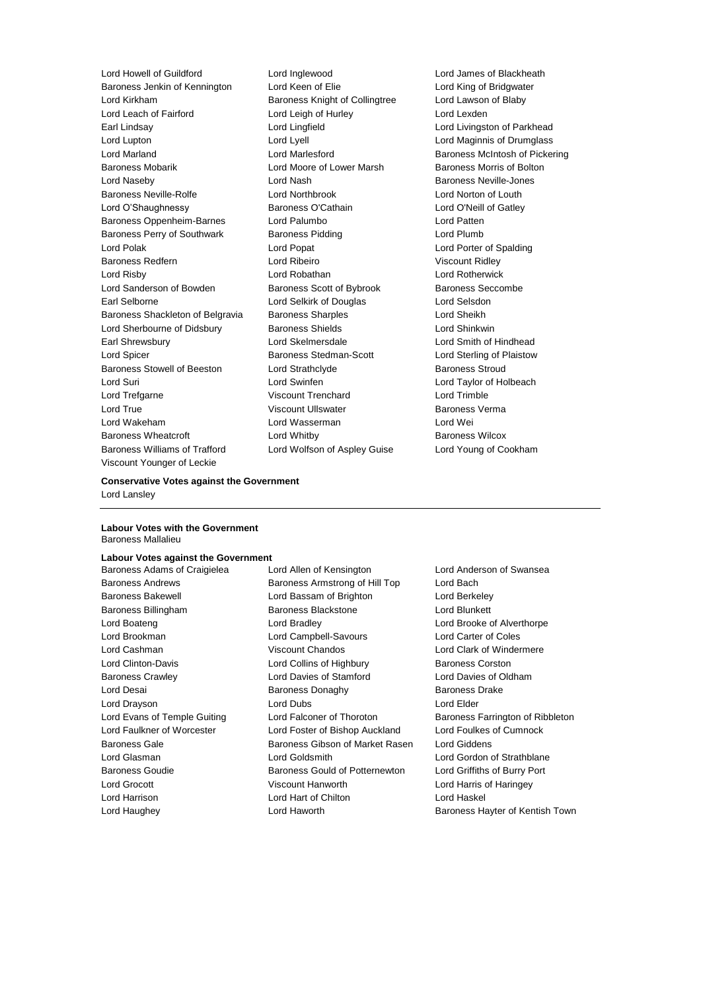Baroness Jenkin of Kennington Lord Keen of Elie Lord King of Bridgwater Lord Kirkham Baroness Knight of Collingtree Lord Lawson of Blaby Lord Leach of Fairford **Lord Leigh of Hurley** Lord Lexden Earl Lindsay Lord Lingfield Lord Livingston of Parkhead Lord Lupton Lord Lyell Lord Maginnis of Drumglass Lord Marland Lord Marlesford Baroness McIntosh of Pickering Baroness Mobarik Lord Moore of Lower Marsh Baroness Morris of Bolton Lord Naseby **Lord Nash Baroness Neville-Jones** Baroness Neville-Rolfe Lord Northbrook Lord Norton of Louth Lord O'Shaughnessy Baroness O'Cathain Lord O'Neill of Gatley Baroness Oppenheim-Barnes Lord Palumbo Lord Patten Baroness Perry of Southwark Baroness Pidding Lord Plumb Lord Polak Lord Popat Lord Popat Lord Polak Lord Polak Lord Polak Lord Porter of Spalding Baroness Redfern **Lord Ribeiro** Lord Ribeiro Viscount Ridley Lord Risby Lord Robathan Lord Rotherwick Lord Sanderson of Bowden Baroness Scott of Bybrook Baroness Seccombe Earl Selborne Lord Selkirk of Douglas Lord Selsdon Baroness Shackleton of Belgravia Baroness Sharples **Baroness Sharples** Lord Sheikh Lord Sherbourne of Didsbury **Baroness Shields** Lord Shinkwin Earl Shrewsbury Lord Skelmersdale Lord Smith of Hindhead Lord Spicer Baroness Stedman-Scott Lord Sterling of Plaistow Baroness Stowell of Beeston Lord Strathclyde Baroness Stroud Lord Suri Lord Swinfen Lord Taylor of Holbeach Lord Trefgarne Viscount Trenchard Lord Trimble Lord True Viscount Ullswater Baroness Verma Lord Wakeham Lord Wasserman Lord Wei Baroness Wheatcroft **Lord Whitby Baroness Wilcox** Baroness Williams of Trafford Lord Wolfson of Aspley Guise Lord Young of Cookham Viscount Younger of Leckie

Lord Howell of Guildford Lord Inglewood Lord James of Blackheath

# **Conservative Votes against the Government** Lord Lansley

#### **Labour Votes with the Government** Baroness Mallalieu

#### **Labour Votes against the Government**

Baroness Adams of Craigielea Lord Allen of Kensington Lord Anderson of Swansea Baroness Andrews **Baroness Armstrong of Hill Top** Lord Bach Baroness Bakewell Lord Bassam of Brighton Lord Berkeley Baroness Billingham Baroness Blackstone Lord Blunkett Lord Boateng Lord Bradley Lord Brooke of Alverthorpe Lord Brookman Lord Campbell-Savours Lord Carter of Coles Lord Cashman Viscount Chandos Lord Clark of Windermere Lord Clinton-Davis **Lord Collins of Highbury** Baroness Corston Baroness Crawley Lord Davies of Stamford Lord Davies of Oldham Lord Desai Baroness Donaghy Baroness Drake Lord Drayson Lord Dubs Lord Elder Lord Evans of Temple Guiting Lord Falconer of Thoroton Baroness Farrington of Ribbleton Lord Faulkner of Worcester Lord Foster of Bishop Auckland Lord Foulkes of Cumnock Baroness Gale Baroness Gibson of Market Rasen Lord Giddens Lord Glasman Lord Goldsmith Lord Gordon of Strathblane Baroness Goudie Baroness Gould of Potternewton Lord Griffiths of Burry Port Lord Grocott Viscount Hanworth Lord Harris of Haringey Lord Harrison Lord Hart of Chilton Lord Haskel

Lord Haughey Lord Haworth Baroness Hayter of Kentish Town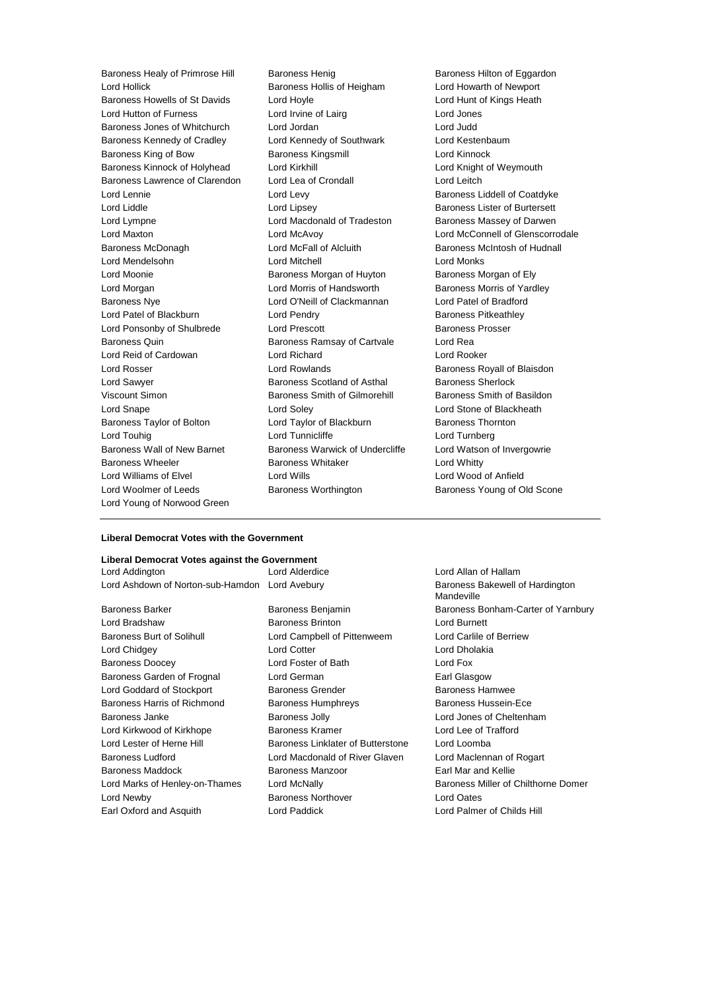Baroness Healy of Primrose Hill Baroness Henig Baroness Henig Baroness Hilton of Eggardon Lord Hollick Baroness Hollis of Heigham Lord Howarth of Newport Baroness Howells of St Davids Lord Hoyle Lord Hunt of Kings Heath Lord Hutton of Furness Lord Irvine of Lairg Lord Jones Baroness Jones of Whitchurch Lord Jordan Lord Judd Baroness Kennedy of Cradley Lord Kennedy of Southwark Lord Kestenbaum Baroness King of Bow Baroness Kingsmill Lord Kinnock Baroness Kinnock of Holyhead Lord Kirkhill Lord Knight of Weymouth Baroness Lawrence of Clarendon Lord Lea of Crondall Lord Leitch Lord Lennie **Lord Levy** Lord Levy **Baroness Liddell of Coatdyke** Lord Liddle **Lord Lipsey** Lord Lipsey **Baroness Lister of Burtersett** Lord Lympne **Lord Macdonald of Tradeston** Baroness Massey of Darwen Lord Maxton Lord McAvoy Lord McConnell of Glenscorrodale Baroness McDonagh **Lord McFall of Alcluith** Baroness McIntosh of Hudnall Lord Mendelsohn Lord Mitchell Lord Monks Lord Moonie Baroness Morgan of Huyton Baroness Morgan of Ely Lord Morgan **Lord Morris of Handsworth** Baroness Morris of Yardley Baroness Nye Lord O'Neill of Clackmannan Lord Patel of Bradford Lord Patel of Blackburn **Lord Pendry Baroness Pitkeathley** Lord Ponsonby of Shulbrede Lord Prescott **Baroness Prosser** Baroness Prosser Baroness Quin **Baroness Ramsay of Cartvale** Lord Rea Lord Reid of Cardowan Lord Richard Lord Rooker Lord Rosser Lord Rowlands Baroness Royall of Blaisdon Lord Sawyer **Baroness Scotland of Asthal** Baroness Sherlock Viscount Simon **Baroness Smith of Gilmorehill** Baroness Smith of Basildon Lord Snape Lord Soley Lord Stone of Blackheath Baroness Taylor of Bolton **Lord Taylor of Blackburn** Baroness Thornton Lord Touhig Lord Tunnicliffe Lord Turnberg Baroness Wall of New Barnet Baroness Warwick of Undercliffe Lord Watson of Invergowrie Baroness Wheeler **Baroness Whitaker** Lord Whitty Lord Williams of Elvel Lord Wills Lord Wood of Anfield Lord Woolmer of Leeds **Baroness Worthington** Baroness Young of Old Scone Lord Young of Norwood Green

# **Liberal Democrat Votes with the Government**

## **Liberal Democrat Votes against the Government**

| Lord Addington                         | Lord |
|----------------------------------------|------|
| Lord Ashdown of Norton-sub-Hamdon Lord |      |

Lord Bradshaw **Baroness Brinton** Baroness Brinton Lord Burnett Baroness Burt of Solihull Lord Campbell of Pittenweem Lord Carlile of Berriew Lord Chidgey Lord Cotter Lord Dholakia Baroness Doocey Lord Foster of Bath Lord Fox Baroness Garden of Frognal Lord German **Earl Glasgow** Lord Goddard of Stockport **Baroness Grender** Baroness Hamwee Baroness Harris of Richmond Baroness Humphreys Baroness Hussein-Ece Baroness Janke Baroness Jolly Lord Jones of Cheltenham Lord Kirkwood of Kirkhope Baroness Kramer Lord Lee of Trafford Lord Lester of Herne Hill Baroness Linklater of Butterstone Lord Loomba Baroness Ludford Lord Macdonald of River Glaven Lord Maclennan of Rogart Baroness Maddock Baroness Manzoor Earl Mar and Kellie Lord Newby Baroness Northover Lord Oates

Earl Oxford and Asquith Lord Paddick Lord Paddick Lord Palmer of Childs Hill

Alderdice Lord Allan of Hallam Avebury **Auchenry Avebury Avebury** Baroness Bakewell of Hardington Mandeville Baroness Barker **Baroness Benjamin** Baroness Baroness Bonham-Carter of Yarnbury Lord Marks of Henley-on-Thames Lord McNally **Baroness Miller of Chilthorne Domer**